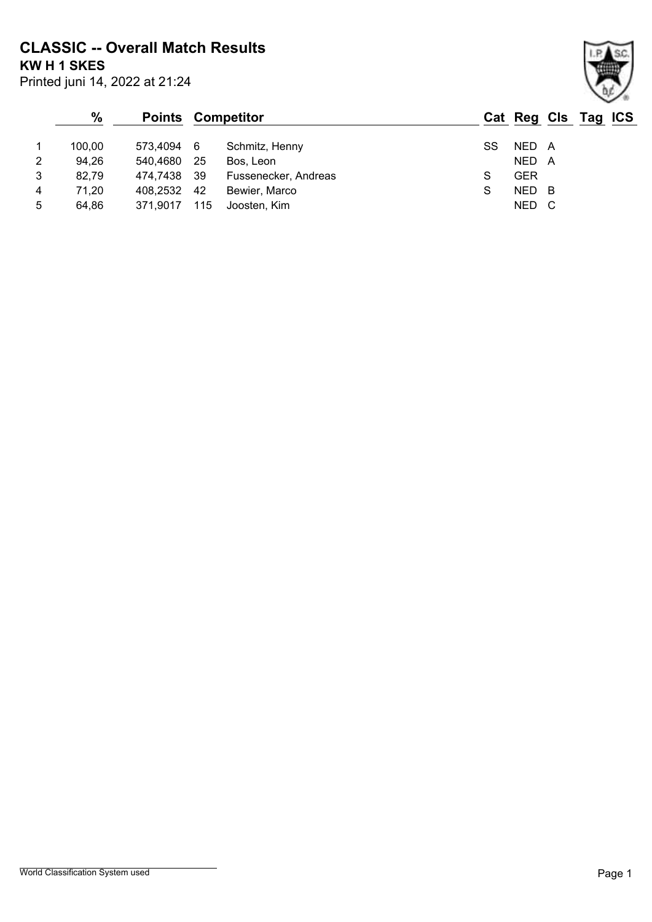**CLASSIC -- Overall Match Results**

Printed juni 14, 2022 at 21:24 **KW H 1 SKES**

|   | $\frac{0}{0}$ | <b>Points Competitor</b> |      |                      |    |            |     | Cat Reg Cls Tag ICS |  |
|---|---------------|--------------------------|------|----------------------|----|------------|-----|---------------------|--|
|   | 100.00        | 573,4094 6               |      | Schmitz, Henny       | SS | NED A      |     |                     |  |
| 2 | 94,26         | 540,4680                 | - 25 | Bos, Leon            |    | NED A      |     |                     |  |
| 3 | 82.79         | 474,7438 39              |      | Fussenecker, Andreas | S  | <b>GER</b> |     |                     |  |
| 4 | 71,20         | 408,2532                 | -42  | Bewier, Marco        | S  | NED        | - B |                     |  |
| 5 | 64.86         | 371.9017                 | 115  | Joosten, Kim         |    | NED        |     |                     |  |

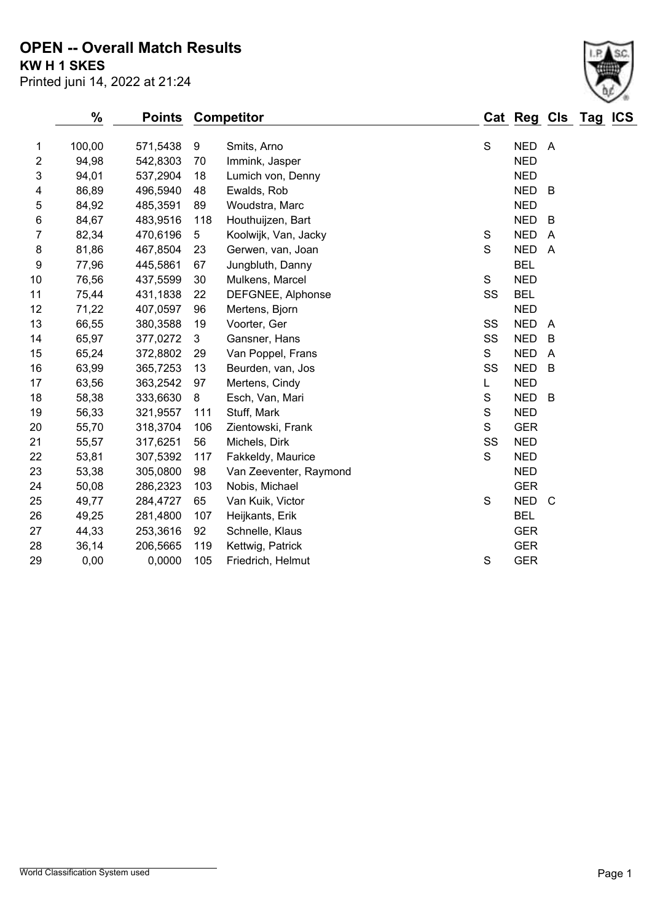### **KW H 1 SKES OPEN -- Overall Match Results**

Printed juni 14, 2022 at 21:24

#### **% Points Competitor Cat Reg Cls Tag ICS** 1 100,00 571,5438 9 Smits, Arno Show State State State A 94,98 542,8303 70 Immink, Jasper NED 94,01 537,2904 18 Lumich von, Denny NED 86,89 496,5940 48 Ewalds, Rob NED B 5 84,92 485,3591 89 Woudstra, Marc New York 1980 NED 84,67 483,9516 118 Houthuijzen, Bart NED B 82,34 470,6196 5 Koolwijk, Van, Jacky S NED A 8 81,86 467,8504 23 Gerwen, van, Joan S S NED A 77,96 445,5861 67 Jungbluth, Danny BEL 76,56 437,5599 30 Mulkens, Marcel S NED 75,44 431,1838 22 DEFGNEE, Alphonse SS BEL 12 71,22 407,0597 96 Mertens, Bjorn NED 13 66,55 380,3588 19 Voorter, Ger Steeds and SS NED A 14 65,97 377,0272 3 Gansner, Hans SS NED B 15 65,24 372,8802 29 Van Poppel, Frans S S NED A 63,99 365,7253 13 Beurden, van, Jos SS NED B 63,56 363,2542 97 Mertens, Cindy L NED 18 58,38 333,6630 8 Esch, Van, Mari S S NED B 56,33 321,9557 111 Stuff, Mark S NED 55,70 318,3704 106 Zientowski, Frank S GER 55,57 317,6251 56 Michels, Dirk SS NED 53,81 307,5392 117 Fakkeldy, Maurice S NED 53,38 305,0800 98 Van Zeeventer, Raymond NED 50,08 286,2323 103 Nobis, Michael GER 49,77 284,4727 65 Van Kuik, Victor S NED C

 49,25 281,4800 107 Heijkants, Erik BEL 44,33 253,3616 92 Schnelle, Klaus GER 36,14 206,5665 119 Kettwig, Patrick GER 0,00 0,0000 105 Friedrich, Helmut S GER

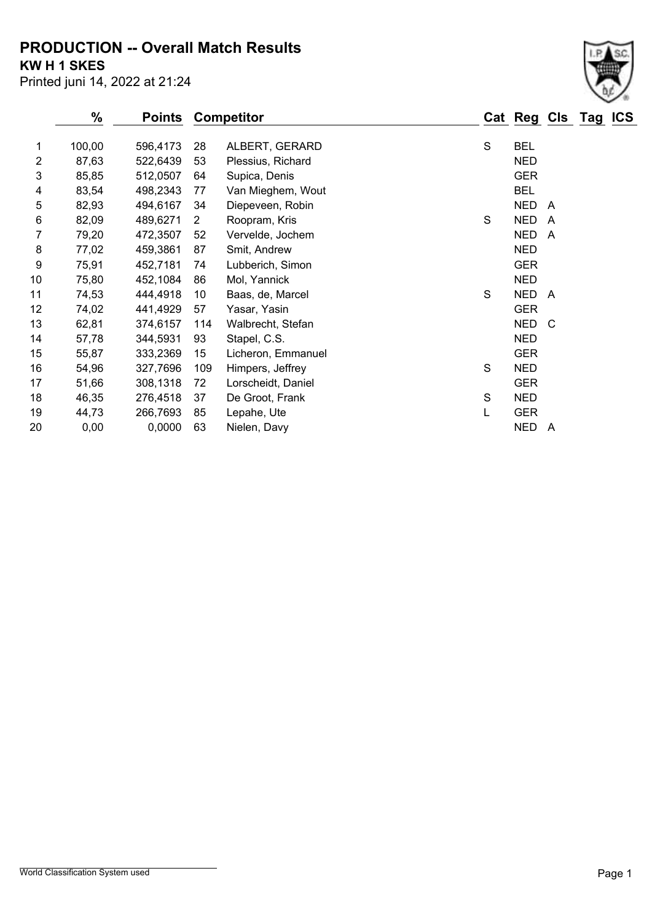**PRODUCTION -- Overall Match Results**

**KW H 1 SKES**

Printed juni 14, 2022 at 21:24

|    | $\frac{0}{0}$ | Points   |     | <b>Competitor</b>  |   | Cat Reg    |                         | Cls Tag | <b>ICS</b> |
|----|---------------|----------|-----|--------------------|---|------------|-------------------------|---------|------------|
| 1  | 100,00        | 596,4173 | 28  | ALBERT, GERARD     | S | <b>BEL</b> |                         |         |            |
| 2  | 87,63         | 522,6439 | 53  | Plessius, Richard  |   | <b>NED</b> |                         |         |            |
| 3  | 85,85         | 512,0507 | 64  | Supica, Denis      |   | <b>GER</b> |                         |         |            |
| 4  | 83,54         | 498,2343 | 77  | Van Mieghem, Wout  |   | <b>BEL</b> |                         |         |            |
| 5  | 82,93         | 494,6167 | 34  | Diepeveen, Robin   |   | <b>NED</b> | $\overline{A}$          |         |            |
| 6  | 82,09         | 489,6271 | 2   | Roopram, Kris      | S | <b>NED</b> | $\overline{A}$          |         |            |
| 7  | 79,20         | 472,3507 | 52  | Vervelde, Jochem   |   | <b>NED</b> | $\overline{\mathsf{A}}$ |         |            |
| 8  | 77,02         | 459,3861 | 87  | Smit, Andrew       |   | <b>NED</b> |                         |         |            |
| 9  | 75,91         | 452,7181 | 74  | Lubberich, Simon   |   | <b>GER</b> |                         |         |            |
| 10 | 75,80         | 452,1084 | 86  | Mol, Yannick       |   | <b>NED</b> |                         |         |            |
| 11 | 74,53         | 444,4918 | 10  | Baas, de, Marcel   | S | <b>NED</b> | A                       |         |            |
| 12 | 74,02         | 441,4929 | 57  | Yasar, Yasin       |   | <b>GER</b> |                         |         |            |
| 13 | 62,81         | 374,6157 | 114 | Walbrecht, Stefan  |   | <b>NED</b> | C                       |         |            |
| 14 | 57,78         | 344,5931 | 93  | Stapel, C.S.       |   | <b>NED</b> |                         |         |            |
| 15 | 55,87         | 333,2369 | 15  | Licheron, Emmanuel |   | <b>GER</b> |                         |         |            |
| 16 | 54,96         | 327,7696 | 109 | Himpers, Jeffrey   | S | <b>NED</b> |                         |         |            |
| 17 | 51,66         | 308,1318 | 72  | Lorscheidt, Daniel |   | <b>GER</b> |                         |         |            |
| 18 | 46,35         | 276,4518 | 37  | De Groot, Frank    | S | <b>NED</b> |                         |         |            |
| 19 | 44,73         | 266,7693 | 85  | Lepahe, Ute        | L | <b>GER</b> |                         |         |            |
| 20 | 0,00          | 0,0000   | 63  | Nielen, Davy       |   | <b>NED</b> | A                       |         |            |

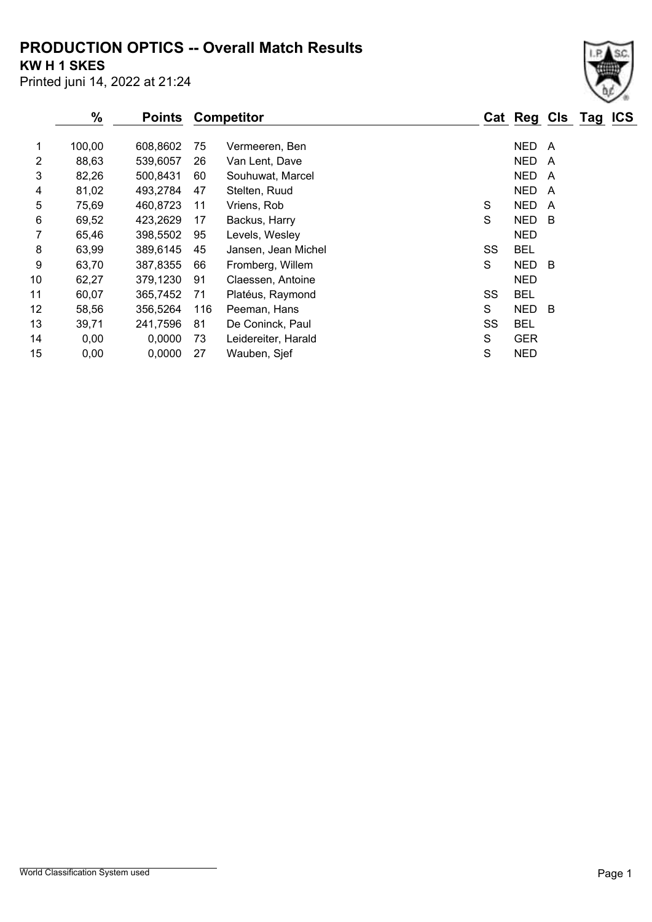## **PRODUCTION OPTICS -- Overall Match Results**

**KW H 1 SKES**

Printed juni 14, 2022 at 21:24

|    | $\%$   | <b>Points</b> |     | <b>Competitor</b>   |    | Cat Reg Cls Tag ICS |     |  |
|----|--------|---------------|-----|---------------------|----|---------------------|-----|--|
| 1  | 100,00 | 608,8602      | 75  | Vermeeren, Ben      |    | NED.                | A   |  |
| 2  | 88,63  | 539,6057      | 26  | Van Lent, Dave      |    | NED.                | A   |  |
| 3  | 82,26  | 500,8431      | 60  | Souhuwat, Marcel    |    | NED                 | A   |  |
| 4  | 81,02  | 493,2784      | 47  | Stelten, Ruud       |    | <b>NED</b>          | A   |  |
| 5  | 75,69  | 460,8723      | 11  | Vriens, Rob         | S  | <b>NED</b>          | A   |  |
| 6  | 69,52  | 423,2629      | 17  | Backus, Harry       | S  | <b>NED</b>          | - B |  |
| 7  | 65,46  | 398,5502      | 95  | Levels, Wesley      |    | <b>NED</b>          |     |  |
| 8  | 63,99  | 389,6145      | 45  | Jansen, Jean Michel | SS | <b>BEL</b>          |     |  |
| 9  | 63,70  | 387,8355      | 66  | Fromberg, Willem    | S  | <b>NED</b>          | - B |  |
| 10 | 62,27  | 379,1230      | 91  | Claessen, Antoine   |    | <b>NED</b>          |     |  |
| 11 | 60,07  | 365,7452      | 71  | Platéus, Raymond    | SS | <b>BEL</b>          |     |  |
| 12 | 58,56  | 356,5264      | 116 | Peeman, Hans        | S  | <b>NED</b>          | - B |  |
| 13 | 39,71  | 241,7596      | 81  | De Coninck, Paul    | SS | <b>BEL</b>          |     |  |
| 14 | 0,00   | 0,0000        | 73  | Leidereiter, Harald | S  | <b>GER</b>          |     |  |
| 15 | 0,00   | 0,0000        | 27  | Wauben, Sjef        | S  | <b>NED</b>          |     |  |

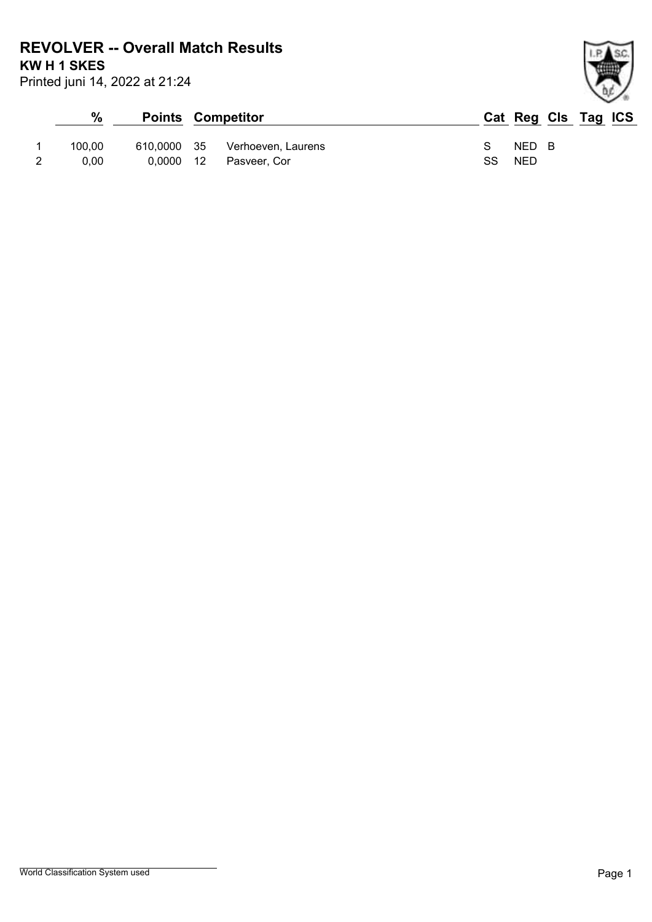**REVOLVER -- Overall Match Results**

**KW H 1 SKES**

Printed juni 14, 2022 at 21:24

| %      |  | <b>Points Competitor</b>       |               | Cat Reg Cls Tag ICS |  |  |
|--------|--|--------------------------------|---------------|---------------------|--|--|
| 100.00 |  | 610,0000 35 Verhoeven, Laurens | $\mathcal{S}$ | NED B               |  |  |
| 0.00   |  | 0,0000 12 Pasveer, Cor         | SS.           | NED                 |  |  |

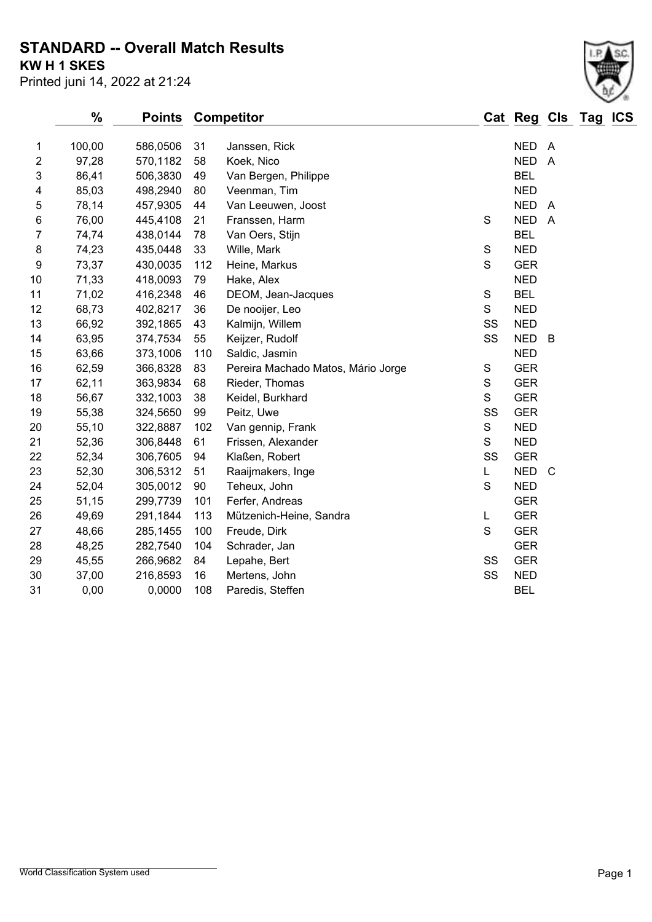## **STANDARD -- Overall Match Results**

**KW H 1 SKES**

| Printed juni 14, 2022 at 21:24 |  |  |  |
|--------------------------------|--|--|--|
|--------------------------------|--|--|--|

|                         | $\frac{9}{6}$ |          | <b>Points</b><br><b>Competitor</b> |                                    |             |            | Cat Reg Cls Tag | <b>ICS</b> |  |
|-------------------------|---------------|----------|------------------------------------|------------------------------------|-------------|------------|-----------------|------------|--|
| 1                       | 100,00        | 586,0506 | 31                                 | Janssen, Rick                      |             | <b>NED</b> | - A             |            |  |
| $\overline{\mathbf{c}}$ | 97,28         | 570,1182 | 58                                 | Koek, Nico                         |             | <b>NED</b> | $\overline{A}$  |            |  |
| 3                       | 86,41         | 506,3830 | 49                                 | Van Bergen, Philippe               |             | <b>BEL</b> |                 |            |  |
| 4                       | 85,03         | 498,2940 | 80                                 | Veenman, Tim                       |             | <b>NED</b> |                 |            |  |
| 5                       | 78,14         | 457,9305 | 44                                 | Van Leeuwen, Joost                 |             | <b>NED</b> | $\overline{A}$  |            |  |
| $\,6\,$                 | 76,00         | 445,4108 | 21                                 | Franssen, Harm                     | S           | <b>NED</b> | $\overline{A}$  |            |  |
| $\overline{7}$          | 74,74         | 438,0144 | 78                                 | Van Oers, Stijn                    |             | <b>BEL</b> |                 |            |  |
| 8                       | 74,23         | 435,0448 | 33                                 | Wille, Mark                        | S           | <b>NED</b> |                 |            |  |
| 9                       | 73,37         | 430,0035 | 112                                | Heine, Markus                      | S           | <b>GER</b> |                 |            |  |
| 10                      | 71,33         | 418,0093 | 79                                 | Hake, Alex                         |             | <b>NED</b> |                 |            |  |
| 11                      | 71,02         | 416,2348 | 46                                 | DEOM, Jean-Jacques                 | S           | <b>BEL</b> |                 |            |  |
| 12                      | 68,73         | 402,8217 | 36                                 | De nooijer, Leo                    | S           | <b>NED</b> |                 |            |  |
| 13                      | 66,92         | 392,1865 | 43                                 | Kalmijn, Willem                    | SS          | <b>NED</b> |                 |            |  |
| 14                      | 63,95         | 374,7534 | 55                                 | Keijzer, Rudolf                    | SS          | <b>NED</b> | B               |            |  |
| 15                      | 63,66         | 373,1006 | 110                                | Saldic, Jasmin                     |             | <b>NED</b> |                 |            |  |
| 16                      | 62,59         | 366,8328 | 83                                 | Pereira Machado Matos, Mário Jorge | S           | <b>GER</b> |                 |            |  |
| 17                      | 62,11         | 363,9834 | 68                                 | Rieder, Thomas                     | S           | <b>GER</b> |                 |            |  |
| 18                      | 56,67         | 332,1003 | 38                                 | Keidel, Burkhard                   | S           | <b>GER</b> |                 |            |  |
| 19                      | 55,38         | 324,5650 | 99                                 | Peitz, Uwe                         | SS          | <b>GER</b> |                 |            |  |
| 20                      | 55,10         | 322,8887 | 102                                | Van gennip, Frank                  | S           | <b>NED</b> |                 |            |  |
| 21                      | 52,36         | 306,8448 | 61                                 | Frissen, Alexander                 | S           | <b>NED</b> |                 |            |  |
| 22                      | 52,34         | 306,7605 | 94                                 | Klaßen, Robert                     | SS          | <b>GER</b> |                 |            |  |
| 23                      | 52,30         | 306,5312 | 51                                 | Raaijmakers, Inge                  | L           | <b>NED</b> | $\mathsf{C}$    |            |  |
| 24                      | 52,04         | 305,0012 | 90                                 | Teheux, John                       | S           | <b>NED</b> |                 |            |  |
| 25                      | 51,15         | 299,7739 | 101                                | Ferfer, Andreas                    |             | <b>GER</b> |                 |            |  |
| 26                      | 49,69         | 291,1844 | 113                                | Mützenich-Heine, Sandra            | L           | <b>GER</b> |                 |            |  |
| 27                      | 48,66         | 285,1455 | 100                                | Freude, Dirk                       | $\mathbf S$ | <b>GER</b> |                 |            |  |
| 28                      | 48,25         | 282,7540 | 104                                | Schrader, Jan                      |             | <b>GER</b> |                 |            |  |
| 29                      | 45,55         | 266,9682 | 84                                 | Lepahe, Bert                       | SS          | <b>GER</b> |                 |            |  |
| 30                      | 37,00         | 216,8593 | 16                                 | Mertens, John                      | SS          | <b>NED</b> |                 |            |  |
| 31                      | 0,00          | 0,0000   | 108                                | Paredis, Steffen                   |             | <b>BEL</b> |                 |            |  |
|                         |               |          |                                    |                                    |             |            |                 |            |  |